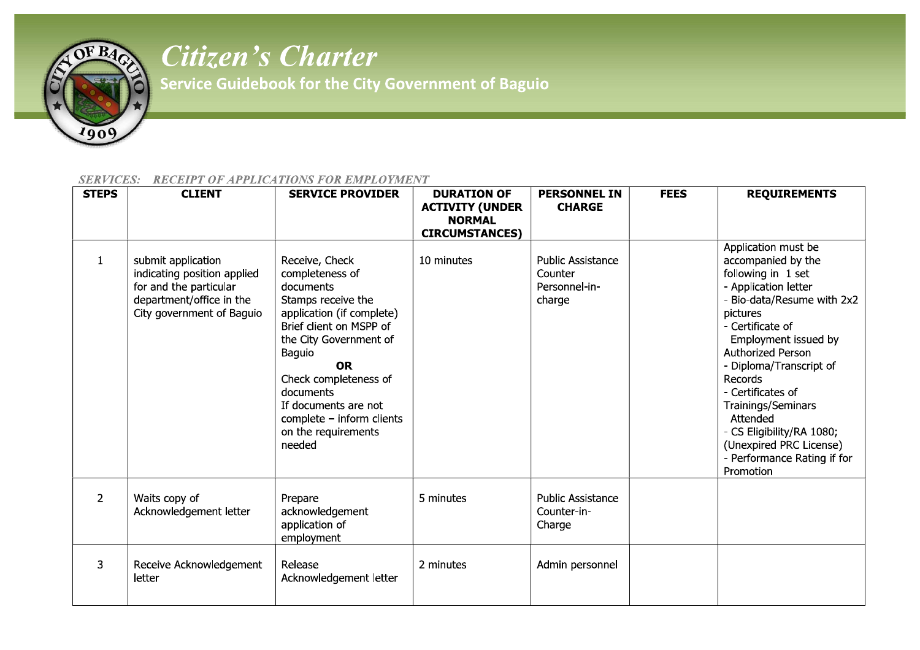

## *Citizen's Charter*

**Service Guidebook for the City Government of Baguio** 

## *SERVICES: RECEIPT OF APPLICATIONS FOR EMPLOYMENT*

| <b>STEPS</b>   | <b>CLIENT</b>                                                                                                                        | <b>SERVICE PROVIDER</b>                                                                                                                                                                                                                                                                                   | <b>DURATION OF</b><br><b>ACTIVITY (UNDER</b> | <b>PERSONNEL IN</b><br><b>CHARGE</b>                           | <b>FEES</b> | <b>REQUIREMENTS</b>                                                                                                                                                                                                                                                                                                                                                                                 |
|----------------|--------------------------------------------------------------------------------------------------------------------------------------|-----------------------------------------------------------------------------------------------------------------------------------------------------------------------------------------------------------------------------------------------------------------------------------------------------------|----------------------------------------------|----------------------------------------------------------------|-------------|-----------------------------------------------------------------------------------------------------------------------------------------------------------------------------------------------------------------------------------------------------------------------------------------------------------------------------------------------------------------------------------------------------|
|                |                                                                                                                                      |                                                                                                                                                                                                                                                                                                           | <b>NORMAL</b>                                |                                                                |             |                                                                                                                                                                                                                                                                                                                                                                                                     |
| 1              | submit application<br>indicating position applied<br>for and the particular<br>department/office in the<br>City government of Baguio | Receive, Check<br>completeness of<br>documents<br>Stamps receive the<br>application (if complete)<br>Brief client on MSPP of<br>the City Government of<br>Baguio<br><b>OR</b><br>Check completeness of<br>documents<br>If documents are not<br>complete - inform clients<br>on the requirements<br>needed | <b>CIRCUMSTANCES)</b><br>10 minutes          | <b>Public Assistance</b><br>Counter<br>Personnel-in-<br>charge |             | Application must be<br>accompanied by the<br>following in 1 set<br>- Application letter<br>- Bio-data/Resume with 2x2<br>pictures<br>- Certificate of<br>Employment issued by<br>Authorized Person<br>- Diploma/Transcript of<br>Records<br>- Certificates of<br>Trainings/Seminars<br>Attended<br>- CS Eligibility/RA 1080;<br>(Unexpired PRC License)<br>- Performance Rating if for<br>Promotion |
| $\overline{2}$ | Waits copy of<br>Acknowledgement letter                                                                                              | Prepare<br>acknowledgement<br>application of<br>employment                                                                                                                                                                                                                                                | 5 minutes                                    | <b>Public Assistance</b><br>Counter-in-<br>Charge              |             |                                                                                                                                                                                                                                                                                                                                                                                                     |
| 3              | Receive Acknowledgement<br>letter                                                                                                    | Release<br>Acknowledgement letter                                                                                                                                                                                                                                                                         | 2 minutes                                    | Admin personnel                                                |             |                                                                                                                                                                                                                                                                                                                                                                                                     |